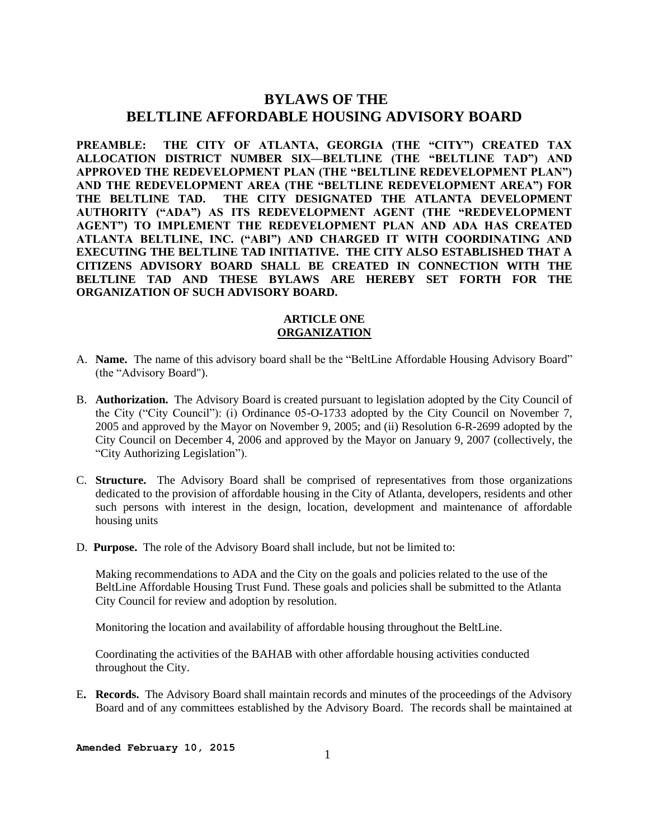# **BYLAWS OF THE BELTLINE AFFORDABLE HOUSING ADVISORY BOARD**

**PREAMBLE: THE CITY OF ATLANTA, GEORGIA (THE "CITY") CREATED TAX ALLOCATION DISTRICT NUMBER SIX—BELTLINE (THE "BELTLINE TAD") AND APPROVED THE REDEVELOPMENT PLAN (THE "BELTLINE REDEVELOPMENT PLAN") AND THE REDEVELOPMENT AREA (THE "BELTLINE REDEVELOPMENT AREA") FOR THE BELTLINE TAD. THE CITY DESIGNATED THE ATLANTA DEVELOPMENT AUTHORITY ("ADA") AS ITS REDEVELOPMENT AGENT (THE "REDEVELOPMENT AGENT") TO IMPLEMENT THE REDEVELOPMENT PLAN AND ADA HAS CREATED ATLANTA BELTLINE, INC. ("ABI") AND CHARGED IT WITH COORDINATING AND EXECUTING THE BELTLINE TAD INITIATIVE. THE CITY ALSO ESTABLISHED THAT A CITIZENS ADVISORY BOARD SHALL BE CREATED IN CONNECTION WITH THE BELTLINE TAD AND THESE BYLAWS ARE HEREBY SET FORTH FOR THE ORGANIZATION OF SUCH ADVISORY BOARD.**

## **ARTICLE ONE ORGANIZATION**

- A. **Name.** The name of this advisory board shall be the "BeltLine Affordable Housing Advisory Board" (the "Advisory Board").
- B. **Authorization.** The Advisory Board is created pursuant to legislation adopted by the City Council of the City ("City Council"): (i) Ordinance 05-O-1733 adopted by the City Council on November 7, 2005 and approved by the Mayor on November 9, 2005; and (ii) Resolution 6-R-2699 adopted by the City Council on December 4, 2006 and approved by the Mayor on January 9, 2007 (collectively, the "City Authorizing Legislation").
- C. **Structure.** The Advisory Board shall be comprised of representatives from those organizations dedicated to the provision of affordable housing in the City of Atlanta, developers, residents and other such persons with interest in the design, location, development and maintenance of affordable housing units
- D. **Purpose.** The role of the Advisory Board shall include, but not be limited to:

Making recommendations to ADA and the City on the goals and policies related to the use of the BeltLine Affordable Housing Trust Fund. These goals and policies shall be submitted to the Atlanta City Council for review and adoption by resolution.

Monitoring the location and availability of affordable housing throughout the BeltLine.

Coordinating the activities of the BAHAB with other affordable housing activities conducted throughout the City.

E**. Records.** The Advisory Board shall maintain records and minutes of the proceedings of the Advisory Board and of any committees established by the Advisory Board. The records shall be maintained at

**Amended February 10, 2015**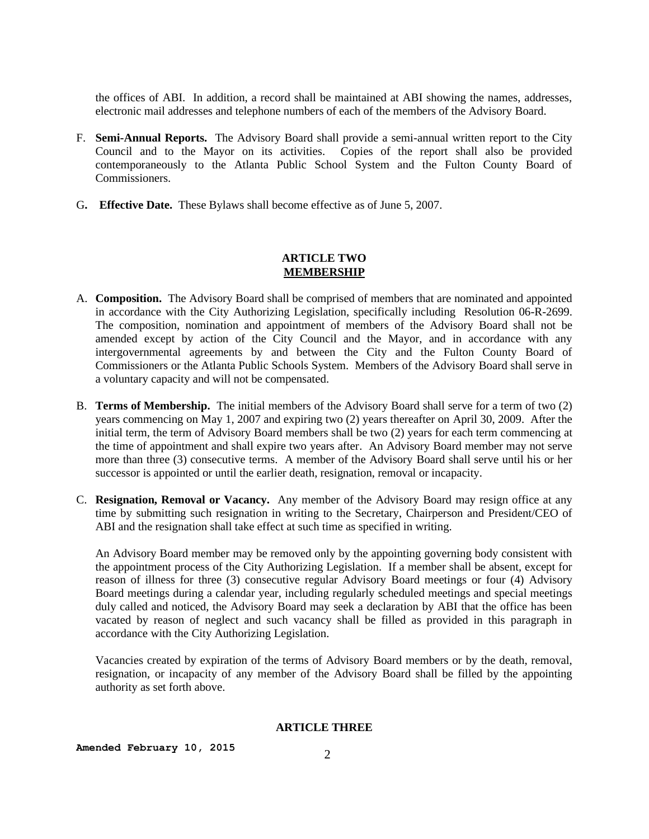the offices of ABI. In addition, a record shall be maintained at ABI showing the names, addresses, electronic mail addresses and telephone numbers of each of the members of the Advisory Board.

- F. **Semi-Annual Reports.** The Advisory Board shall provide a semi-annual written report to the City Council and to the Mayor on its activities. Copies of the report shall also be provided contemporaneously to the Atlanta Public School System and the Fulton County Board of Commissioners.
- G**. Effective Date.** These Bylaws shall become effective as of June 5, 2007.

## **ARTICLE TWO MEMBERSHIP**

- A. **Composition.** The Advisory Board shall be comprised of members that are nominated and appointed in accordance with the City Authorizing Legislation, specifically including Resolution 06-R-2699. The composition, nomination and appointment of members of the Advisory Board shall not be amended except by action of the City Council and the Mayor, and in accordance with any intergovernmental agreements by and between the City and the Fulton County Board of Commissioners or the Atlanta Public Schools System. Members of the Advisory Board shall serve in a voluntary capacity and will not be compensated.
- B. **Terms of Membership.** The initial members of the Advisory Board shall serve for a term of two (2) years commencing on May 1, 2007 and expiring two (2) years thereafter on April 30, 2009. After the initial term, the term of Advisory Board members shall be two (2) years for each term commencing at the time of appointment and shall expire two years after. An Advisory Board member may not serve more than three (3) consecutive terms. A member of the Advisory Board shall serve until his or her successor is appointed or until the earlier death, resignation, removal or incapacity.
- C. **Resignation, Removal or Vacancy.** Any member of the Advisory Board may resign office at any time by submitting such resignation in writing to the Secretary, Chairperson and President/CEO of ABI and the resignation shall take effect at such time as specified in writing.

An Advisory Board member may be removed only by the appointing governing body consistent with the appointment process of the City Authorizing Legislation. If a member shall be absent, except for reason of illness for three (3) consecutive regular Advisory Board meetings or four (4) Advisory Board meetings during a calendar year, including regularly scheduled meetings and special meetings duly called and noticed, the Advisory Board may seek a declaration by ABI that the office has been vacated by reason of neglect and such vacancy shall be filled as provided in this paragraph in accordance with the City Authorizing Legislation.

Vacancies created by expiration of the terms of Advisory Board members or by the death, removal, resignation, or incapacity of any member of the Advisory Board shall be filled by the appointing authority as set forth above.

#### **ARTICLE THREE**

**Amended February 10, 2015** 2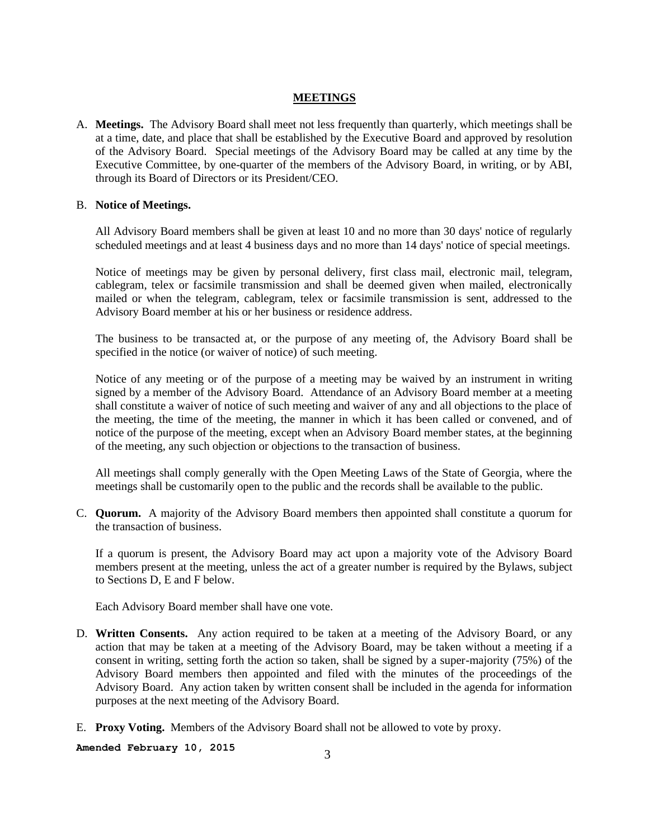### **MEETINGS**

A. **Meetings.** The Advisory Board shall meet not less frequently than quarterly, which meetings shall be at a time, date, and place that shall be established by the Executive Board and approved by resolution of the Advisory Board. Special meetings of the Advisory Board may be called at any time by the Executive Committee, by one-quarter of the members of the Advisory Board, in writing, or by ABI, through its Board of Directors or its President/CEO.

## B. **Notice of Meetings.**

All Advisory Board members shall be given at least 10 and no more than 30 days' notice of regularly scheduled meetings and at least 4 business days and no more than 14 days' notice of special meetings.

Notice of meetings may be given by personal delivery, first class mail, electronic mail, telegram, cablegram, telex or facsimile transmission and shall be deemed given when mailed, electronically mailed or when the telegram, cablegram, telex or facsimile transmission is sent, addressed to the Advisory Board member at his or her business or residence address.

The business to be transacted at, or the purpose of any meeting of, the Advisory Board shall be specified in the notice (or waiver of notice) of such meeting.

Notice of any meeting or of the purpose of a meeting may be waived by an instrument in writing signed by a member of the Advisory Board. Attendance of an Advisory Board member at a meeting shall constitute a waiver of notice of such meeting and waiver of any and all objections to the place of the meeting, the time of the meeting, the manner in which it has been called or convened, and of notice of the purpose of the meeting, except when an Advisory Board member states, at the beginning of the meeting, any such objection or objections to the transaction of business.

All meetings shall comply generally with the Open Meeting Laws of the State of Georgia, where the meetings shall be customarily open to the public and the records shall be available to the public.

C. **Quorum.** A majority of the Advisory Board members then appointed shall constitute a quorum for the transaction of business.

If a quorum is present, the Advisory Board may act upon a majority vote of the Advisory Board members present at the meeting, unless the act of a greater number is required by the Bylaws, subject to Sections D, E and F below.

Each Advisory Board member shall have one vote.

- D. **Written Consents.** Any action required to be taken at a meeting of the Advisory Board, or any action that may be taken at a meeting of the Advisory Board, may be taken without a meeting if a consent in writing, setting forth the action so taken, shall be signed by a super-majority (75%) of the Advisory Board members then appointed and filed with the minutes of the proceedings of the Advisory Board. Any action taken by written consent shall be included in the agenda for information purposes at the next meeting of the Advisory Board.
- E. **Proxy Voting.** Members of the Advisory Board shall not be allowed to vote by proxy.

**Amended February 10, 2015** <sup>3</sup>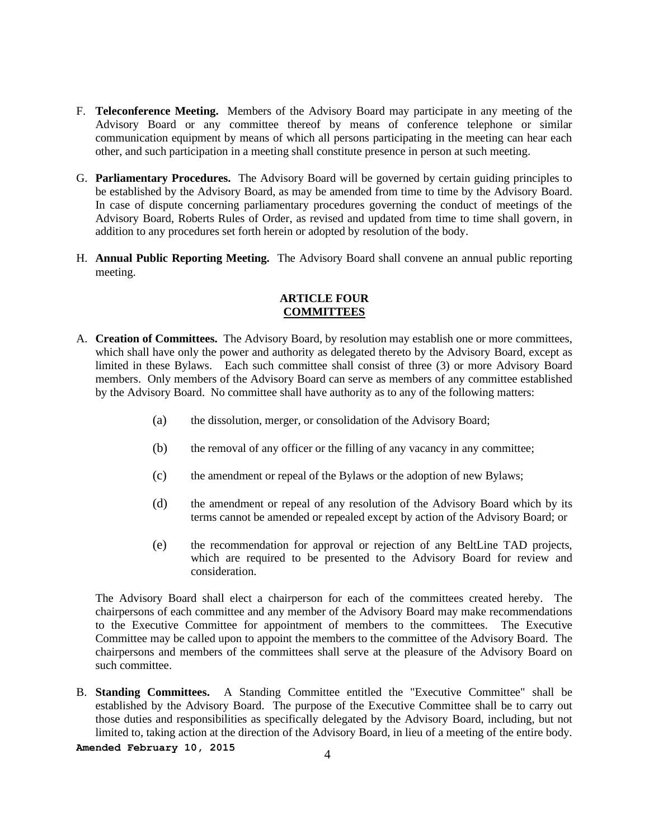- F. **Teleconference Meeting.** Members of the Advisory Board may participate in any meeting of the Advisory Board or any committee thereof by means of conference telephone or similar communication equipment by means of which all persons participating in the meeting can hear each other, and such participation in a meeting shall constitute presence in person at such meeting.
- G. **Parliamentary Procedures.** The Advisory Board will be governed by certain guiding principles to be established by the Advisory Board, as may be amended from time to time by the Advisory Board. In case of dispute concerning parliamentary procedures governing the conduct of meetings of the Advisory Board, Roberts Rules of Order, as revised and updated from time to time shall govern, in addition to any procedures set forth herein or adopted by resolution of the body.
- H. **Annual Public Reporting Meeting.** The Advisory Board shall convene an annual public reporting meeting.

## **ARTICLE FOUR COMMITTEES**

- A. **Creation of Committees.** The Advisory Board, by resolution may establish one or more committees, which shall have only the power and authority as delegated thereto by the Advisory Board, except as limited in these Bylaws. Each such committee shall consist of three (3) or more Advisory Board members. Only members of the Advisory Board can serve as members of any committee established by the Advisory Board. No committee shall have authority as to any of the following matters:
	- (a) the dissolution, merger, or consolidation of the Advisory Board;
	- (b) the removal of any officer or the filling of any vacancy in any committee;
	- (c) the amendment or repeal of the Bylaws or the adoption of new Bylaws;
	- (d) the amendment or repeal of any resolution of the Advisory Board which by its terms cannot be amended or repealed except by action of the Advisory Board; or
	- (e) the recommendation for approval or rejection of any BeltLine TAD projects, which are required to be presented to the Advisory Board for review and consideration.

The Advisory Board shall elect a chairperson for each of the committees created hereby. The chairpersons of each committee and any member of the Advisory Board may make recommendations to the Executive Committee for appointment of members to the committees. The Executive Committee may be called upon to appoint the members to the committee of the Advisory Board. The chairpersons and members of the committees shall serve at the pleasure of the Advisory Board on such committee.

B. **Standing Committees.** A Standing Committee entitled the "Executive Committee" shall be established by the Advisory Board. The purpose of the Executive Committee shall be to carry out those duties and responsibilities as specifically delegated by the Advisory Board, including, but not limited to, taking action at the direction of the Advisory Board, in lieu of a meeting of the entire body.

**Amended February 10, 2015** <sup>4</sup>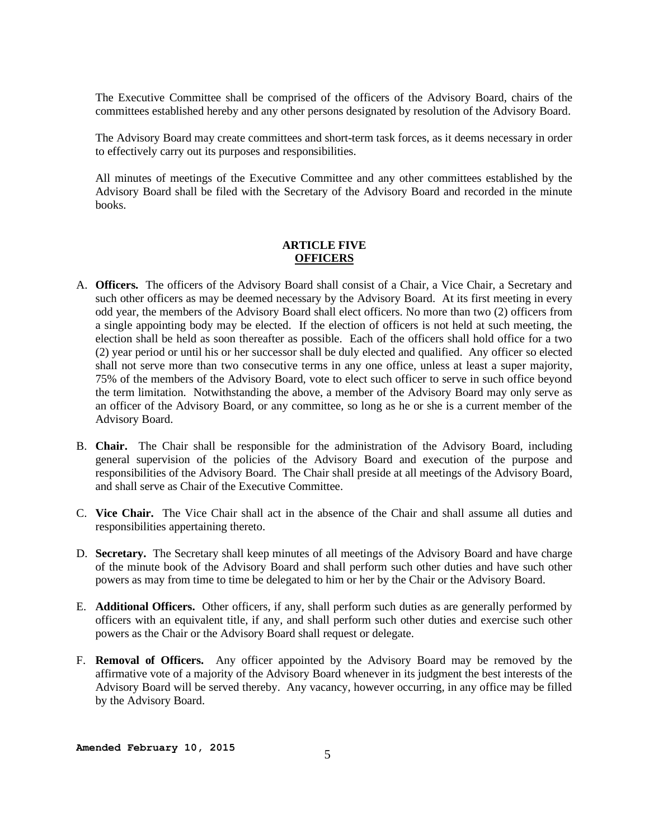The Executive Committee shall be comprised of the officers of the Advisory Board, chairs of the committees established hereby and any other persons designated by resolution of the Advisory Board.

The Advisory Board may create committees and short-term task forces, as it deems necessary in order to effectively carry out its purposes and responsibilities.

All minutes of meetings of the Executive Committee and any other committees established by the Advisory Board shall be filed with the Secretary of the Advisory Board and recorded in the minute books.

### **ARTICLE FIVE OFFICERS**

- A. **Officers.** The officers of the Advisory Board shall consist of a Chair, a Vice Chair, a Secretary and such other officers as may be deemed necessary by the Advisory Board. At its first meeting in every odd year, the members of the Advisory Board shall elect officers. No more than two (2) officers from a single appointing body may be elected. If the election of officers is not held at such meeting, the election shall be held as soon thereafter as possible. Each of the officers shall hold office for a two (2) year period or until his or her successor shall be duly elected and qualified. Any officer so elected shall not serve more than two consecutive terms in any one office, unless at least a super majority, 75% of the members of the Advisory Board, vote to elect such officer to serve in such office beyond the term limitation. Notwithstanding the above, a member of the Advisory Board may only serve as an officer of the Advisory Board, or any committee, so long as he or she is a current member of the Advisory Board.
- B. **Chair.** The Chair shall be responsible for the administration of the Advisory Board, including general supervision of the policies of the Advisory Board and execution of the purpose and responsibilities of the Advisory Board. The Chair shall preside at all meetings of the Advisory Board, and shall serve as Chair of the Executive Committee.
- C. **Vice Chair.** The Vice Chair shall act in the absence of the Chair and shall assume all duties and responsibilities appertaining thereto.
- D. **Secretary.** The Secretary shall keep minutes of all meetings of the Advisory Board and have charge of the minute book of the Advisory Board and shall perform such other duties and have such other powers as may from time to time be delegated to him or her by the Chair or the Advisory Board.
- E. **Additional Officers.** Other officers, if any, shall perform such duties as are generally performed by officers with an equivalent title, if any, and shall perform such other duties and exercise such other powers as the Chair or the Advisory Board shall request or delegate.
- F. **Removal of Officers.** Any officer appointed by the Advisory Board may be removed by the affirmative vote of a majority of the Advisory Board whenever in its judgment the best interests of the Advisory Board will be served thereby. Any vacancy, however occurring, in any office may be filled by the Advisory Board.